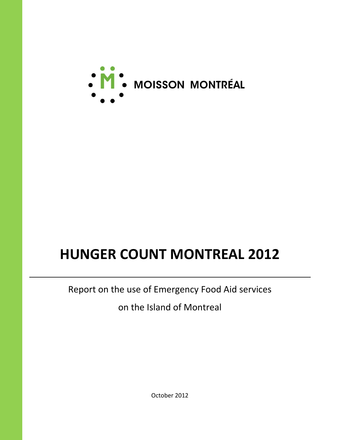

# **HUNGER COUNT MONTREAL 2012**

Report on the use of Emergency Food Aid services

on the Island of Montreal

October 2012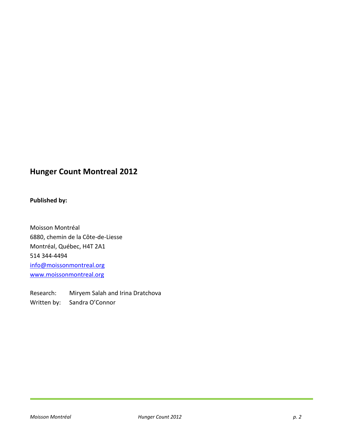# **Hunger Count Montreal 2012**

### **Published by:**

Moisson Montréal 6880, chemin de la Côte-de-Liesse Montréal, Québec, H4T 2A1 514 344-4494 [info@moissonmontreal.org](mailto:info@moissonmontreal.org) [www.moissonmontreal.org](http://www.moissonmontreal.org/)

Research: Miryem Salah and Irina Dratchova Written by: Sandra O'Connor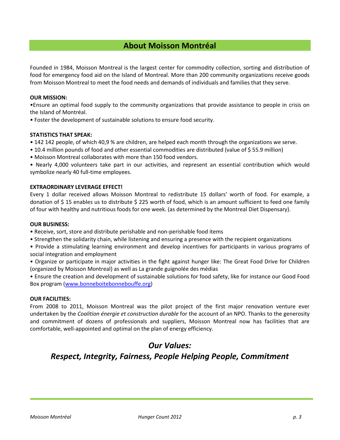# **About Moisson Montréal**

Founded in 1984, Moisson Montreal is the largest center for commodity collection, sorting and distribution of food for emergency food aid on the Island of Montreal. More than 200 community organizations receive goods from Moisson Montreal to meet the food needs and demands of individuals and families that they serve.

#### **OUR MISSION:**

•Ensure an optimal food supply to the community organizations that provide assistance to people in crisis on the Island of Montréal.

• Foster the development of sustainable solutions to ensure food security.

#### **STATISTICS THAT SPEAK:**

- 142 142 people, of which 40,9 % are children, are helped each month through the organizations we serve.
- 10.4 million pounds of food and other essential commodities are distributed (value of \$ 55.9 million)
- Moisson Montreal collaborates with more than 150 food vendors.

• Nearly 4,000 volunteers take part in our activities, and represent an essential contribution which would symbolize nearly 40 full-time employees.

#### **EXTRAORDINARY LEVERAGE EFFECT!**

Every 1 dollar received allows Moisson Montreal to redistribute 15 dollars' worth of food. For example, a donation of \$ 15 enables us to distribute \$ 225 worth of food, which is an amount sufficient to feed one family of four with healthy and nutritious foods for one week. (as determined by the Montreal Diet Dispensary).

#### **OUR BUSINESS:**

- Receive, sort, store and distribute perishable and non-perishable food items
- Strengthen the solidarity chain, while listening and ensuring a presence with the recipient organizations
- Provide a stimulating learning environment and develop incentives for participants in various programs of social integration and employment
- Organize or participate in major activities in the fight against hunger like: The Great Food Drive for Children (organized by Moisson Montreal) as well as La grande guignolée des médias

• Ensure the creation and development of sustainable solutions for food safety, like for instance our Good Food Box program [\(www.bonneboitebonnebouffe.org\)](http://www.bonneboitebonnebouffe.org/)

#### **OUR FACILITIES:**

From 2008 to 2011, Moisson Montreal was the pilot project of the first major renovation venture ever undertaken by the *Coalition énergie et construction durable* for the account of an NPO. Thanks to the generosity and commitment of dozens of professionals and suppliers, Moisson Montreal now has facilities that are comfortable, well-appointed and optimal on the plan of energy efficiency.

## *Our Values:*

# *Respect, Integrity, Fairness, People Helping People, Commitment*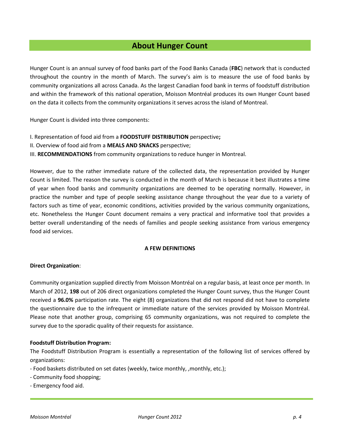# **About Hunger Count**

Hunger Count is an annual survey of food banks part of the Food Banks Canada (**FBC**) network that is conducted throughout the country in the month of March. The survey's aim is to measure the use of food banks by community organizations all across Canada. As the largest Canadian food bank in terms of foodstuff distribution and within the framework of this national operation, Moisson Montréal produces its own Hunger Count based on the data it collects from the community organizations it serves across the island of Montreal.

Hunger Count is divided into three components:

- I. Representation of food aid from a **FOODSTUFF DISTRIBUTION** perspective**;**
- II. Overview of food aid from a **MEALS AND SNACKS** perspective;

III. **RECOMMENDATIONS** from community organizations to reduce hunger in Montreal.

However, due to the rather immediate nature of the collected data, the representation provided by Hunger Count is limited. The reason the survey is conducted in the month of March is because it best illustrates a time of year when food banks and community organizations are deemed to be operating normally. However, in practice the number and type of people seeking assistance change throughout the year due to a variety of factors such as time of year, economic conditions, activities provided by the various community organizations, etc. Nonetheless the Hunger Count document remains a very practical and informative tool that provides a better overall understanding of the needs of families and people seeking assistance from various emergency food aid services.

#### **A FEW DEFINITIONS**

#### **Direct Organization**:

Community organization supplied directly from Moisson Montréal on a regular basis, at least once per month. In March of 2012, **198** out of 206 direct organizations completed the Hunger Count survey, thus the Hunger Count received a **96.0%** participation rate. The eight (8) organizations that did not respond did not have to complete the questionnaire due to the infrequent or immediate nature of the services provided by Moisson Montréal. Please note that another group, comprising 65 community organizations, was not required to complete the survey due to the sporadic quality of their requests for assistance.

#### **Foodstuff Distribution Program:**

The Foodstuff Distribution Program is essentially a representation of the following list of services offered by organizations:

- Food baskets distributed on set dates (weekly, twice monthly, , monthly, etc.);
- Community food shopping;
- Emergency food aid.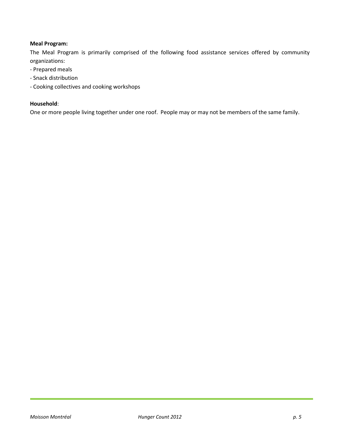#### **Meal Program:**

The Meal Program is primarily comprised of the following food assistance services offered by community organizations:

- Prepared meals
- Snack distribution
- Cooking collectives and cooking workshops

#### **Household**:

One or more people living together under one roof. People may or may not be members of the same family.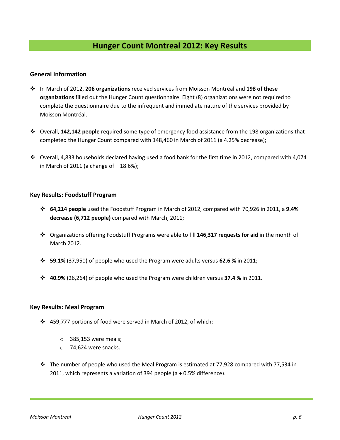#### **General Information**

- In March of 2012, **206 organizations** received services from Moisson Montréal and **198 of these organizations** filled out the Hunger Count questionnaire. Eight (8) organizations were not required to complete the questionnaire due to the infrequent and immediate nature of the services provided by Moisson Montréal.
- Overall, **142,142 people** required some type of emergency food assistance from the 198 organizations that completed the Hunger Count compared with 148,460 in March of 2011 (a 4.25% decrease);
- Overall, 4,833 households declared having used a food bank for the first time in 2012, compared with 4,074 in March of 2011 (a change of + 18.6%);

#### **Key Results: Foodstuff Program**

- **64,214 people** used the Foodstuff Program in March of 2012, compared with 70,926 in 2011, a **9.4% decrease (6,712 people)** compared with March, 2011;
- Organizations offering Foodstuff Programs were able to fill **146,317 requests for aid** in the month of March 2012.
- **59.1%** (37,950) of people who used the Program were adults versus **62.6 %** in 2011;
- **40.9%** (26,264) of people who used the Program were children versus **37.4 %** in 2011.

#### **Key Results: Meal Program**

- 459,777 portions of food were served in March of 2012, of which:
	- o 385,153 were meals;
	- o 74,624 were snacks.
- $\cdot \cdot$  The number of people who used the Meal Program is estimated at 77,928 compared with 77,534 in 2011, which represents a variation of 394 people (a + 0.5% difference).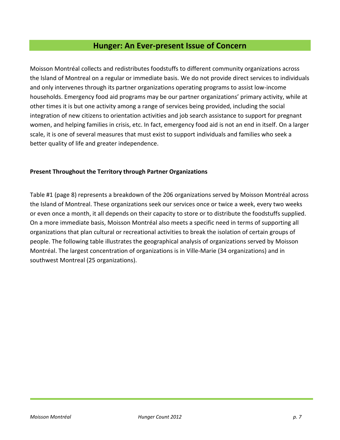# **Hunger: An Ever-present Issue of Concern**

Moisson Montréal collects and redistributes foodstuffs to different community organizations across the Island of Montreal on a regular or immediate basis. We do not provide direct services to individuals and only intervenes through its partner organizations operating programs to assist low-income households. Emergency food aid programs may be our partner organizations' primary activity, while at other times it is but one activity among a range of services being provided, including the social integration of new citizens to orientation activities and job search assistance to support for pregnant women, and helping families in crisis, etc. In fact, emergency food aid is not an end in itself. On a larger scale, it is one of several measures that must exist to support individuals and families who seek a better quality of life and greater independence.

#### **Present Throughout the Territory through Partner Organizations**

Table #1 (page 8) represents a breakdown of the 206 organizations served by Moisson Montréal across the Island of Montreal. These organizations seek our services once or twice a week, every two weeks or even once a month, it all depends on their capacity to store or to distribute the foodstuffs supplied. On a more immediate basis, Moisson Montréal also meets a specific need in terms of supporting all organizations that plan cultural or recreational activities to break the isolation of certain groups of people. The following table illustrates the geographical analysis of organizations served by Moisson Montréal. The largest concentration of organizations is in Ville-Marie (34 organizations) and in southwest Montreal (25 organizations).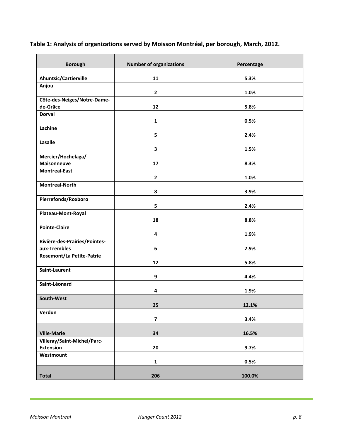| Table 1: Analysis of organizations served by Moisson Montréal, per borough, March, 2012. |  |  |
|------------------------------------------------------------------------------------------|--|--|
|------------------------------------------------------------------------------------------|--|--|

| <b>Borough</b>                          | <b>Number of organizations</b> | Percentage |
|-----------------------------------------|--------------------------------|------------|
| Ahuntsic/Cartierville                   | 11                             | 5.3%       |
| Anjou                                   |                                |            |
|                                         | $\overline{2}$                 | 1.0%       |
| Côte-des-Neiges/Notre-Dame-<br>de-Grâce | 12                             |            |
| <b>Dorval</b>                           |                                | 5.8%       |
|                                         | $\mathbf{1}$                   | 0.5%       |
| Lachine                                 | 5                              | 2.4%       |
| Lasalle                                 |                                |            |
|                                         | 3                              | 1.5%       |
| Mercier/Hochelaga/                      |                                |            |
| <b>Maisonneuve</b>                      | 17                             | 8.3%       |
| <b>Montreal-East</b>                    | $\overline{2}$                 | 1.0%       |
| <b>Montreal-North</b>                   |                                |            |
|                                         | 8                              | 3.9%       |
| Pierrefonds/Roxboro                     |                                |            |
|                                         | 5                              | 2.4%       |
| Plateau-Mont-Royal                      |                                |            |
|                                         | 18                             | 8.8%       |
| <b>Pointe-Claire</b>                    | 4                              | 1.9%       |
| Rivière-des-Prairies/Pointes-           |                                |            |
| aux-Trembles                            | 6                              | 2.9%       |
| <b>Rosemont/La Petite-Patrie</b>        | 12                             | 5.8%       |
| Saint-Laurent                           | $\boldsymbol{9}$               | 4.4%       |
| Saint-Léonard                           |                                |            |
|                                         | 4                              | 1.9%       |
| South-West                              | 25                             | 12.1%      |
| Verdun                                  | $\overline{\mathbf{z}}$        | 3.4%       |
| <b>Ville-Marie</b>                      | 34                             | 16.5%      |
| Villeray/Saint-Michel/Parc-             |                                |            |
| <b>Extension</b>                        | 20                             | 9.7%       |
| Westmount                               |                                |            |
|                                         | $\mathbf{1}$                   | 0.5%       |
|                                         |                                |            |
| <b>Total</b>                            | 206                            | 100.0%     |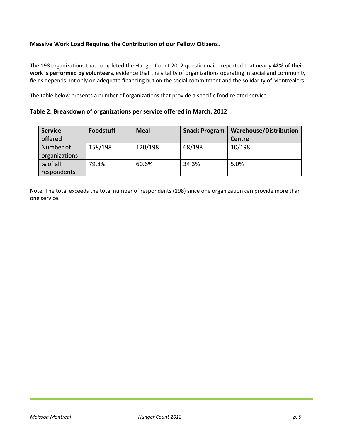#### **Massive Work Load Requires the Contribution of our Fellow Citizens.**

The 198 organizations that completed the Hunger Count 2012 questionnaire reported that nearly **42% of their work is performed by volunteers,** evidence that the vitality of organizations operating in social and community fields depends not only on adequate financing but on the social commitment and the solidarity of Montrealers.

The table below presents a number of organizations that provide a specific food-related service.

**Table 2: Breakdown of organizations per service offered in March, 2012**

| <b>Service</b> | <b>Foodstuff</b> | <b>Meal</b> | <b>Snack Program</b> | <b>Warehouse/Distribution</b> |
|----------------|------------------|-------------|----------------------|-------------------------------|
| offered        |                  |             |                      | Centre                        |
| Number of      | 158/198          | 120/198     | 68/198               | 10/198                        |
| organizations  |                  |             |                      |                               |
| % of all       | 79.8%            | 60.6%       | 34.3%                | 5.0%                          |
| respondents    |                  |             |                      |                               |

Note: The total exceeds the total number of respondents (198) since one organization can provide more than one service.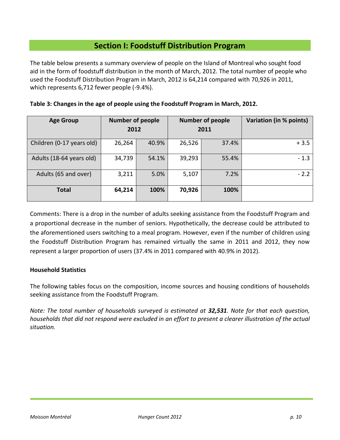# **Section I: Foodstuff Distribution Program**

The table below presents a summary overview of people on the Island of Montreal who sought food aid in the form of foodstuff distribution in the month of March, 2012. The total number of people who used the Foodstuff Distribution Program in March, 2012 is 64,214 compared with 70,926 in 2011, which represents 6,712 fewer people (-9.4%).

| <b>Age Group</b>          | <b>Number of people</b><br>2012 |       | <b>Number of people</b><br>2011 |       | Variation (in % points) |
|---------------------------|---------------------------------|-------|---------------------------------|-------|-------------------------|
| Children (0-17 years old) | 26,264                          | 40.9% | 26,526                          | 37.4% | $+3.5$                  |
| Adults (18-64 years old)  | 34,739                          | 54.1% | 39,293                          | 55.4% | $-1.3$                  |
| Adults (65 and over)      | 3,211                           | 5.0%  | 5,107                           | 7.2%  | $-2.2$                  |
| <b>Total</b>              | 64,214                          | 100%  | 70,926                          | 100%  |                         |

|  |  |  | Table 3: Changes in the age of people using the Foodstuff Program in March, 2012. |  |
|--|--|--|-----------------------------------------------------------------------------------|--|
|  |  |  |                                                                                   |  |

Comments: There is a drop in the number of adults seeking assistance from the Foodstuff Program and a proportional decrease in the number of seniors. Hypothetically, the decrease could be attributed to the aforementioned users switching to a meal program. However, even if the number of children using the Foodstuff Distribution Program has remained virtually the same in 2011 and 2012, they now represent a larger proportion of users (37.4% in 2011 compared with 40.9% in 2012).

#### **Household Statistics**

The following tables focus on the composition, income sources and housing conditions of households seeking assistance from the Foodstuff Program.

*Note: The total number of households surveyed is estimated at 32,531. Note for that each question, households that did not respond were excluded in an effort to present a clearer illustration of the actual situation.*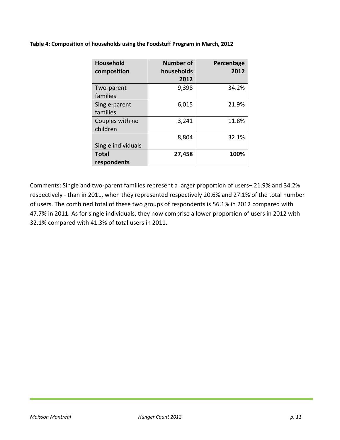**Table 4: Composition of households using the Foodstuff Program in March, 2012** 

| <b>Household</b><br>composition | <b>Number of</b><br>households<br>2012 | Percentage<br>2012 |
|---------------------------------|----------------------------------------|--------------------|
| Two-parent<br>families          | 9,398                                  | 34.2%              |
| Single-parent<br>families       | 6,015                                  | 21.9%              |
| Couples with no<br>children     | 3,241                                  | 11.8%              |
| Single individuals              | 8,804                                  | 32.1%              |
| <b>Total</b><br>respondents     | 27,458                                 | 100%               |

Comments: Single and two-parent families represent a larger proportion of users– 21.9% and 34.2% respectively - than in 2011, when they represented respectively 20.6% and 27.1% of the total number of users. The combined total of these two groups of respondents is 56.1% in 2012 compared with 47.7% in 2011. As for single individuals, they now comprise a lower proportion of users in 2012 with 32.1% compared with 41.3% of total users in 2011.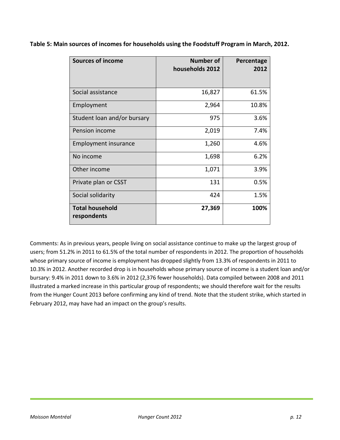| <b>Sources of income</b>              | <b>Number of</b><br>households 2012 | Percentage<br>2012 |
|---------------------------------------|-------------------------------------|--------------------|
| Social assistance                     | 16,827                              | 61.5%              |
| Employment                            | 2,964                               | 10.8%              |
| Student loan and/or bursary           | 975                                 | 3.6%               |
| Pension income                        | 2,019                               | 7.4%               |
| Employment insurance                  | 1,260                               | 4.6%               |
| No income                             | 1,698                               | 6.2%               |
| Other income                          | 1,071                               | 3.9%               |
| Private plan or CSST                  | 131                                 | 0.5%               |
| Social solidarity                     | 424                                 | 1.5%               |
| <b>Total household</b><br>respondents | 27,369                              | 100%               |

**Table 5: Main sources of incomes for households using the Foodstuff Program in March, 2012.** 

Comments: As in previous years, people living on social assistance continue to make up the largest group of users; from 51.2% in 2011 to 61.5% of the total number of respondents in 2012. The proportion of households whose primary source of income is employment has dropped slightly from 13.3% of respondents in 2011 to 10.3% in 2012. Another recorded drop is in households whose primary source of income is a student loan and/or bursary: 9.4% in 2011 down to 3.6% in 2012 (2,376 fewer households). Data compiled between 2008 and 2011 illustrated a marked increase in this particular group of respondents; we should therefore wait for the results from the Hunger Count 2013 before confirming any kind of trend. Note that the student strike, which started in February 2012, may have had an impact on the group's results.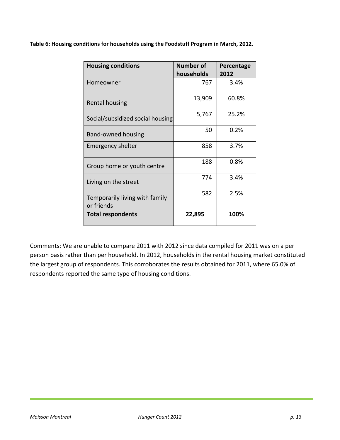**Table 6: Housing conditions for households using the Foodstuff Program in March, 2012.** 

| <b>Housing conditions</b>                    | <b>Number of</b><br>households | Percentage<br>2012 |
|----------------------------------------------|--------------------------------|--------------------|
| Homeowner                                    | 767                            | 3.4%               |
| Rental housing                               | 13,909                         | 60.8%              |
| Social/subsidized social housing             | 5,767                          | 25.2%              |
| Band-owned housing                           | 50                             | 0.2%               |
| Emergency shelter                            | 858                            | 3.7%               |
| Group home or youth centre                   | 188                            | 0.8%               |
| Living on the street                         | 774                            | 3.4%               |
| Temporarily living with family<br>or friends | 582                            | 2.5%               |
| <b>Total respondents</b>                     | 22,895                         | 100%               |

Comments: We are unable to compare 2011 with 2012 since data compiled for 2011 was on a per person basis rather than per household. In 2012, households in the rental housing market constituted the largest group of respondents. This corroborates the results obtained for 2011, where 65.0% of respondents reported the same type of housing conditions.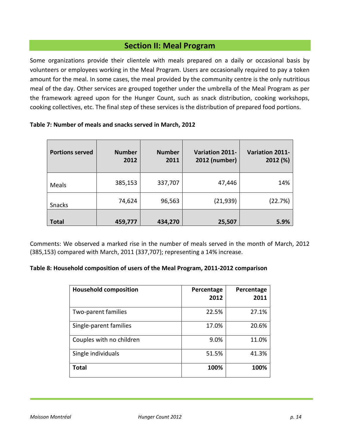# **Section II: Meal Program**

Some organizations provide their clientele with meals prepared on a daily or occasional basis by volunteers or employees working in the Meal Program. Users are occasionally required to pay a token amount for the meal. In some cases, the meal provided by the community centre is the only nutritious meal of the day. Other services are grouped together under the umbrella of the Meal Program as per the framework agreed upon for the Hunger Count, such as snack distribution, cooking workshops, cooking collectives, etc. The final step of these services is the distribution of prepared food portions.

|  | Table 7: Number of meals and snacks served in March, 2012 |
|--|-----------------------------------------------------------|
|--|-----------------------------------------------------------|

| <b>Portions served</b> | <b>Number</b><br>2012 | <b>Number</b><br>2011 | <b>Variation 2011-</b><br>2012 (number) | <b>Variation 2011-</b><br>2012 (%) |
|------------------------|-----------------------|-----------------------|-----------------------------------------|------------------------------------|
| Meals                  | 385,153               | 337,707               | 47,446                                  | 14%                                |
| Snacks                 | 74,624                | 96,563                | (21, 939)                               | (22.7%)                            |
| <b>Total</b>           | 459,777               | 434,270               | 25,507                                  | 5.9%                               |

Comments: We observed a marked rise in the number of meals served in the month of March, 2012 (385,153) compared with March, 2011 (337,707); representing a 14% increase.

#### **Table 8: Household composition of users of the Meal Program, 2011-2012 comparison**

| <b>Household composition</b> | Percentage<br>2012 | Percentage<br>2011 |
|------------------------------|--------------------|--------------------|
| Two-parent families          | 22.5%              | 27.1%              |
| Single-parent families       | 17.0%              | 20.6%              |
| Couples with no children     | 9.0%               | 11.0%              |
| Single individuals           | 51.5%              | 41.3%              |
| Total                        | 100%               | 100%               |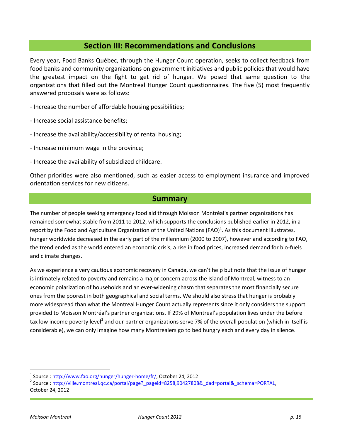## **Section III: Recommendations and Conclusions**

Every year, Food Banks Québec, through the Hunger Count operation, seeks to collect feedback from food banks and community organizations on government initiatives and public policies that would have the greatest impact on the fight to get rid of hunger. We posed that same question to the organizations that filled out the Montreal Hunger Count questionnaires. The five (5) most frequently answered proposals were as follows:

- Increase the number of affordable housing possibilities;
- Increase social assistance benefits;
- Increase the availability/accessibility of rental housing;
- Increase minimum wage in the province;
- Increase the availability of subsidized childcare.

Other priorities were also mentioned, such as easier access to employment insurance and improved orientation services for new citizens.

#### **Summary**

The number of people seeking emergency food aid through Moisson Montréal's partner organizations has remained somewhat stable from 2011 to 2012, which supports the conclusions published earlier in 2012, in a report by the Food and Agriculture Organization of the United Nations (FAO)<sup>1</sup>. As this document illustrates, hunger worldwide decreased in the early part of the millennium (2000 to 2007), however and according to FAO, the trend ended as the world entered an economic crisis, a rise in food prices, increased demand for bio-fuels and climate changes.

As we experience a very cautious economic recovery in Canada, we can't help but note that the issue of hunger is intimately related to poverty and remains a major concern across the Island of Montreal, witness to an economic polarization of households and an ever-widening chasm that separates the most financially secure ones from the poorest in both geographical and social terms. We should also stress that hunger is probably more widespread than what the Montreal Hunger Count actually represents since it only considers the support provided to Moisson Montréal's partner organizations. If 29% of Montreal's population lives under the before tax low income poverty level<sup>2</sup> and our partner organizations serve 7% of the overall population (which in itself is considerable), we can only imagine how many Montrealers go to bed hungry each and every day in silence.

 $\overline{a}$ 

<sup>&</sup>lt;sup>1</sup> Source : <u>http://www.fao.org/hunger/hunger-home/fr/</u>, October 24, 2012

<sup>&</sup>lt;sup>2</sup> Source : http://ville.montreal.qc.ca/portal/page? pageid=8258,90427808& dad=portal& schema=PORTAL, October 24, 2012